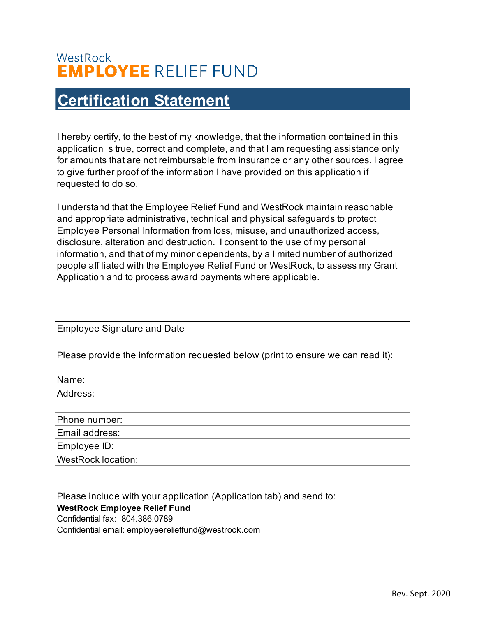## WestRock **EMPLOYEE RELIEF FUND**

## **Certification Statement**

I hereby certify, to the best of my knowledge, that the information contained in this application is true, correct and complete, and that I am requesting assistance only for amounts that are not reimbursable from insurance or any other sources. I agree to give further proof of the information I have provided on this application if requested to do so.

I understand that the Employee Relief Fund and WestRock maintain reasonable and appropriate administrative, technical and physical safeguards to protect Employee Personal Information from loss, misuse, and unauthorized access, disclosure, alteration and destruction. I consent to the use of my personal information, and that of my minor dependents, by a limited number of authorized people affiliated with the Employee Relief Fund or WestRock, to assess my Grant Application and to process award payments where applicable.

Employee Signature and Date

Name:

Please provide the information requested below (print to ensure we can read it):

| ivame:                    |  |
|---------------------------|--|
| Address:                  |  |
|                           |  |
| Phone number:             |  |
| Email address:            |  |
| Employee ID:              |  |
| <b>WestRock location:</b> |  |
|                           |  |

Please include with your application (Application tab) and send to: **WestRock Employee Relief Fund** Confidential fax: 804.386.0789 Confidential email: employeerelieffund@westrock.com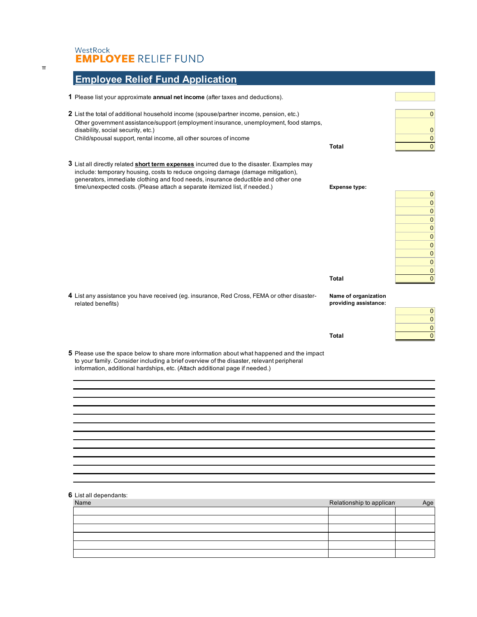## WestRock<br>**EMPLOYEE** RELIEF FUND

| <b>Employee Relief Fund Application</b> |  |
|-----------------------------------------|--|
|-----------------------------------------|--|

| <u>Employee Relief Fund Application</u>                                                                                                                                                                                                                                                                                                           |                                               |                                                                                                                           |
|---------------------------------------------------------------------------------------------------------------------------------------------------------------------------------------------------------------------------------------------------------------------------------------------------------------------------------------------------|-----------------------------------------------|---------------------------------------------------------------------------------------------------------------------------|
| 1 Please list your approximate annual net income (after taxes and deductions).                                                                                                                                                                                                                                                                    |                                               |                                                                                                                           |
| 2 List the total of additional household income (spouse/partner income, pension, etc.)<br>Other government assistance/support (employment insurance, unemployment, food stamps,<br>disability, social security, etc.)<br>Child/spousal support, rental income, all other sources of income                                                        | <b>Total</b>                                  | $\overline{0}$<br>$\mathbf{0}$<br>$\overline{0}$<br>$\overline{0}$                                                        |
| 3 List all directly related short term expenses incurred due to the disaster. Examples may<br>include: temporary housing, costs to reduce ongoing damage (damage mitigation),<br>generators, immediate clothing and food needs, insurance deductible and other one<br>time/unexpected costs. (Please attach a separate itemized list, if needed.) | <b>Expense type:</b>                          | 0 <br>$\pmb{0}$<br>$\overline{0}$<br>$\pmb{0}$<br>$\pmb{0}$<br>$\overline{0}$<br>$\mathbf 0$<br>$\pmb{0}$<br>$\mathbf{0}$ |
|                                                                                                                                                                                                                                                                                                                                                   | Total                                         | $\pmb{0}$<br>$\overline{0}$                                                                                               |
| 4 List any assistance you have received (eg. insurance, Red Cross, FEMA or other disaster-<br>related benefits)                                                                                                                                                                                                                                   | Name of organization<br>providing assistance: | 0 <br>$\mathbf 0$<br>$\overline{0}$                                                                                       |
|                                                                                                                                                                                                                                                                                                                                                   | Total                                         | $\overline{0}$                                                                                                            |
| 5 Please use the space below to share more information about what happened and the impact<br>to your family. Consider including a brief overview of the disaster, relevant peripheral<br>information, additional hardships, etc. (Attach additional page if needed.)                                                                              |                                               |                                                                                                                           |
|                                                                                                                                                                                                                                                                                                                                                   |                                               |                                                                                                                           |
|                                                                                                                                                                                                                                                                                                                                                   |                                               |                                                                                                                           |
|                                                                                                                                                                                                                                                                                                                                                   |                                               |                                                                                                                           |
|                                                                                                                                                                                                                                                                                                                                                   |                                               |                                                                                                                           |
|                                                                                                                                                                                                                                                                                                                                                   |                                               |                                                                                                                           |
|                                                                                                                                                                                                                                                                                                                                                   |                                               |                                                                                                                           |
|                                                                                                                                                                                                                                                                                                                                                   |                                               |                                                                                                                           |

**6** List all dependants:

| Name | Relationship to applican |  |
|------|--------------------------|--|
|      |                          |  |
|      |                          |  |
|      |                          |  |
|      |                          |  |
|      |                          |  |
|      |                          |  |